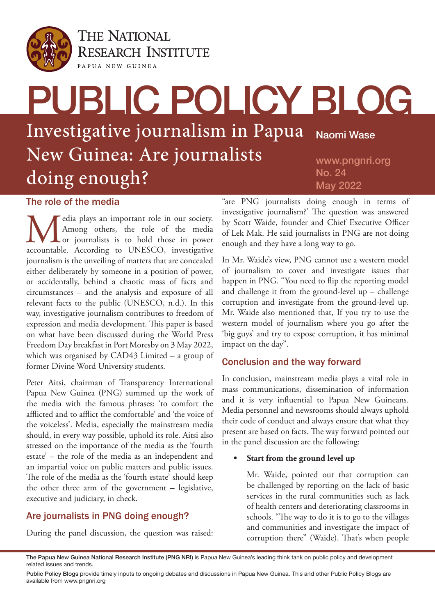

**THE NATIONAL RESEARCH INSTITUTE** PAPUA NEW GUINEA

# PUBLIC POLICY BLOG Investigative journalism in Papua New Guinea: Are journalists doing enough? Naomi Wase www.pngnri.org No. 24 May 2022

#### The role of the media

Media plays an important role in our society.<br>Among others, the role of the media<br>accountable. According to UNESCO, investigative Among others, the role of the media or journalists is to hold those in power accountable. According to UNESCO, investigative journalism is the unveiling of matters that are concealed either deliberately by someone in a position of power, or accidentally, behind a chaotic mass of facts and circumstances – and the analysis and exposure of all relevant facts to the public (UNESCO, n.d.). In this way, investigative journalism contributes to freedom of expression and media development. This paper is based on what have been discussed during the World Press Freedom Day breakfast in Port Moresby on 3 May 2022, which was organised by CAD43 Limited – a group of former Divine Word University students.

Peter Aitsi, chairman of Transparency International Papua New Guinea (PNG) summed up the work of the media with the famous phrases: 'to comfort the afflicted and to afflict the comfortable' and 'the voice of the voiceless'. Media, especially the mainstream media should, in every way possible, uphold its role. Aitsi also stressed on the importance of the media as the 'fourth estate' – the role of the media as an independent and an impartial voice on public matters and public issues. The role of the media as the 'fourth estate' should keep the other three arm of the government – legislative, executive and judiciary, in check.

# Are journalists in PNG doing enough?

During the panel discussion, the question was raised:

"are PNG journalists doing enough in terms of investigative journalism?' The question was answered by Scott Waide, founder and Chief Executive Officer of Lek Mak. He said journalists in PNG are not doing enough and they have a long way to go.

In Mr. Waide's view, PNG cannot use a western model of journalism to cover and investigate issues that happen in PNG. "You need to flip the reporting model and challenge it from the ground-level up – challenge corruption and investigate from the ground-level up. Mr. Waide also mentioned that, If you try to use the western model of journalism where you go after the 'big guys' and try to expose corruption, it has minimal impact on the day".

### Conclusion and the way forward

In conclusion, mainstream media plays a vital role in mass communications, dissemination of information and it is very influential to Papua New Guineans. Media personnel and newsrooms should always uphold their code of conduct and always ensure that what they present are based on facts. The way forward pointed out in the panel discussion are the following:

#### **• Start from the ground level up**

Mr. Waide, pointed out that corruption can be challenged by reporting on the lack of basic services in the rural communities such as lack of health centers and deteriorating classrooms in schools. "The way to do it is to go to the villages and communities and investigate the impact of corruption there" (Waide). That's when people

The Papua New Guinea National Research Institute (PNG NRI) is Papua New Guinea's leading think tank on public policy and development related issues and trends.

Public Policy Blogs provide timely inputs to ongoing debates and discussions in Papua New Guinea. This and other Public Policy Blogs are available from www.pngnri.org